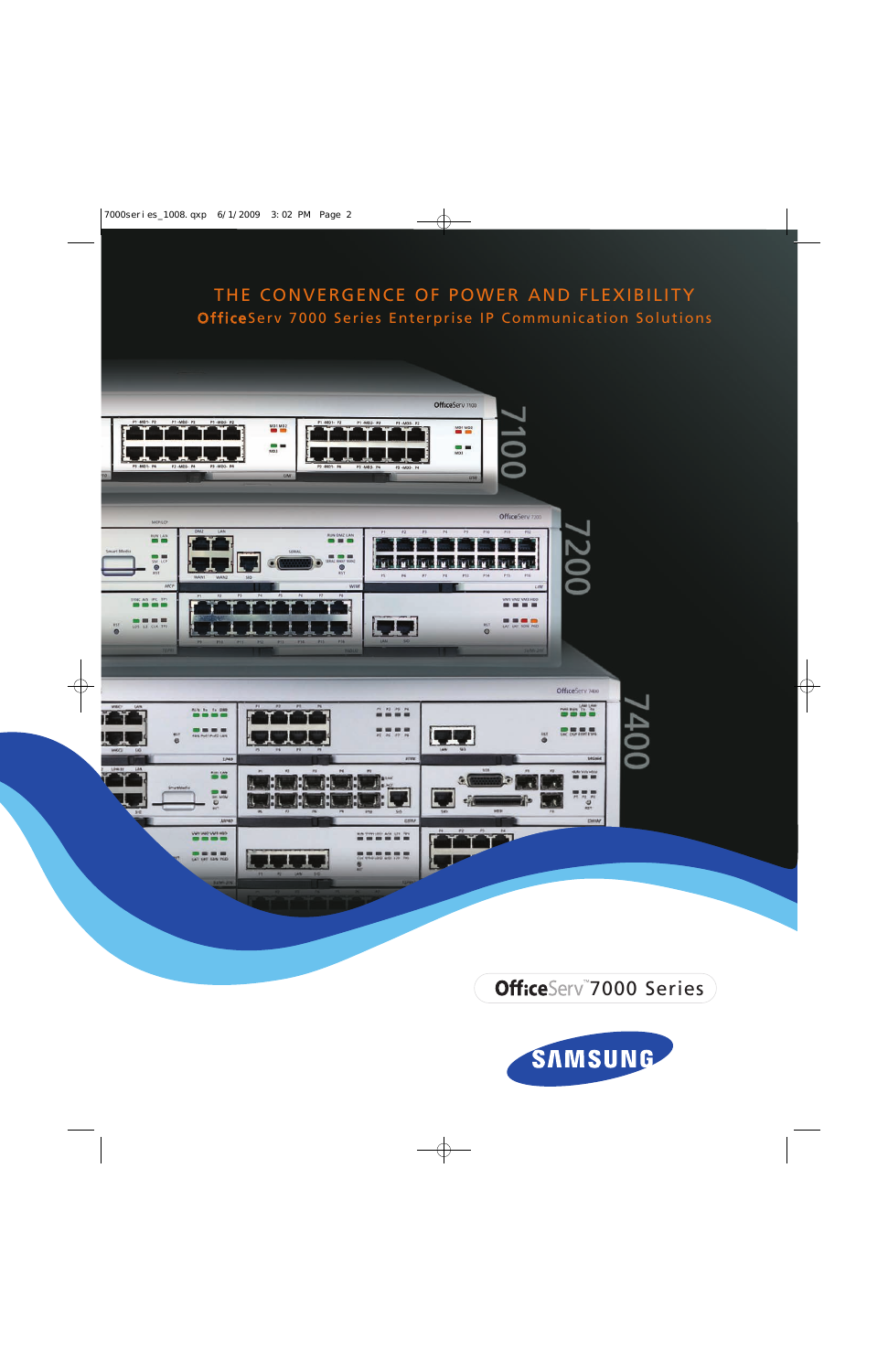# THE CONVERGENCE OF POWER AND FLEXIBILITY OfficeServ 7000 Series Enterprise IP Communication Solutions



OfficeServ 7000 Series

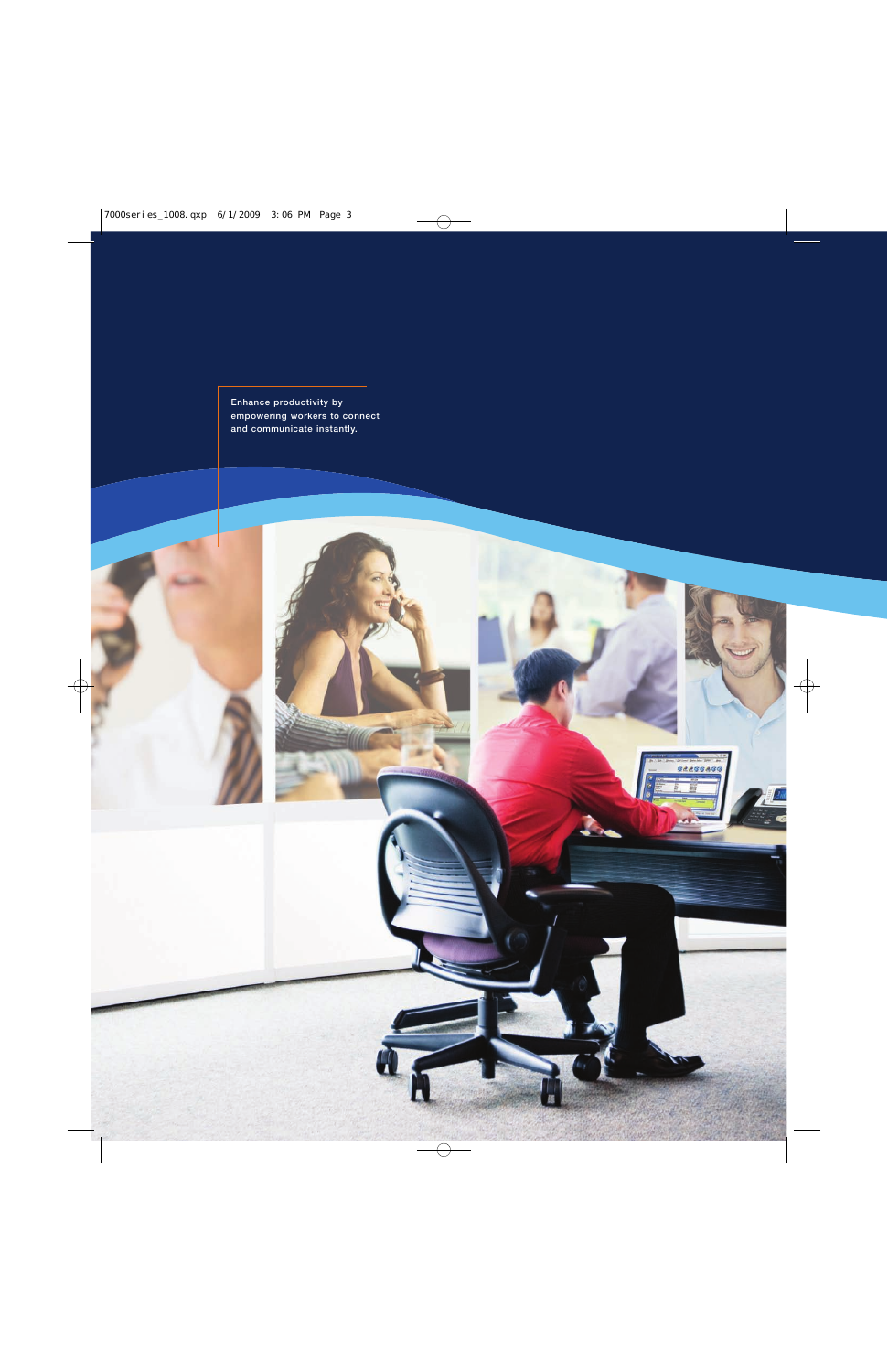**Enhance productivity by empowering workers to connect and communicate instantly.**

32255455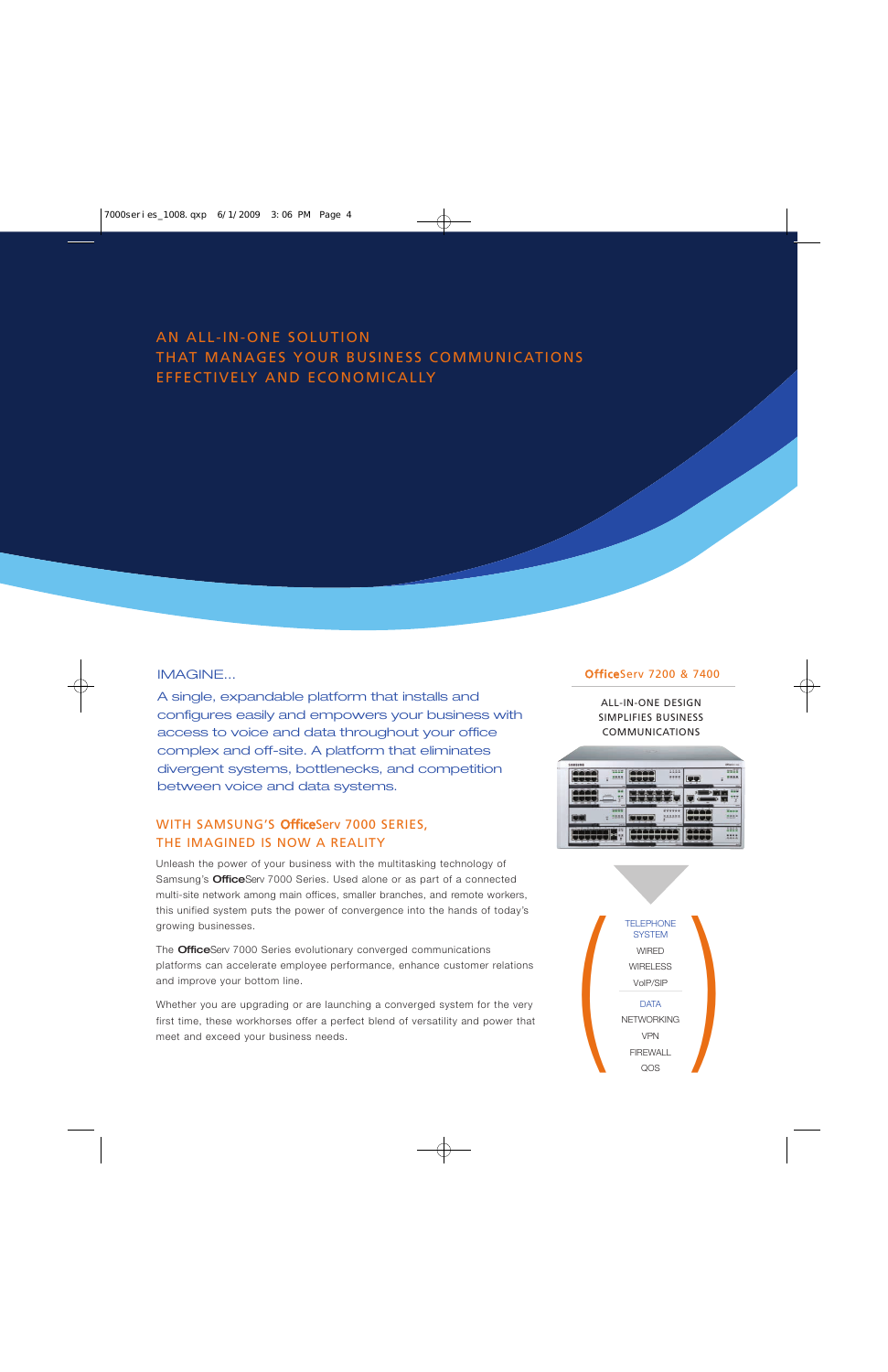## AN ALL-IN-ONE SOLUTION THAT MANAGES YOUR BUSINESS COMMUNICATIONS EFFECTIVELY AND ECONOMICALLY

#### IMAGINE...

A single, expandable platform that installs and configures easily and empowers your business with access to voice and data throughout your office complex and off-site. A platform that eliminates divergent systems, bottlenecks, and competition between voice and data systems.

## WITH SAMSUNG'S OfficeServ 7000 SERIES, THE IMAGINED IS NOW A REALITY

Unleash the power of your business with the multitasking technology of Samsung's **Office**Serv 7000 Series. Used alone or as part of a connected multi-site network among main offices, smaller branches, and remote workers, this unified system puts the power of convergence into the hands of today's growing businesses.

The **Office**Serv 7000 Series evolutionary converged communications platforms can accelerate employee performance, enhance customer relations and improve your bottom line.

Whether you are upgrading or are launching a converged system for the very first time, these workhorses offer a perfect blend of versatility and power that meet and exceed your business needs.

#### OfficeServ 7200 & 7400

ALL-IN-ONE DESIGN SIMPLIFIES BUSINESS COMMUNICATIONS



TELEPHONE<br>
SYSTEM<br>
WIRED<br>
WIRELESS<br>
VOIP/SIP<br>
DATA<br>
NETWORKING<br>
VPN<br>
FIREWALL<br>
COS **SYSTEM** WIRED **WIRELESS** VoIP/SIP **DATA** NETWORKING VPN FIREWALL QOS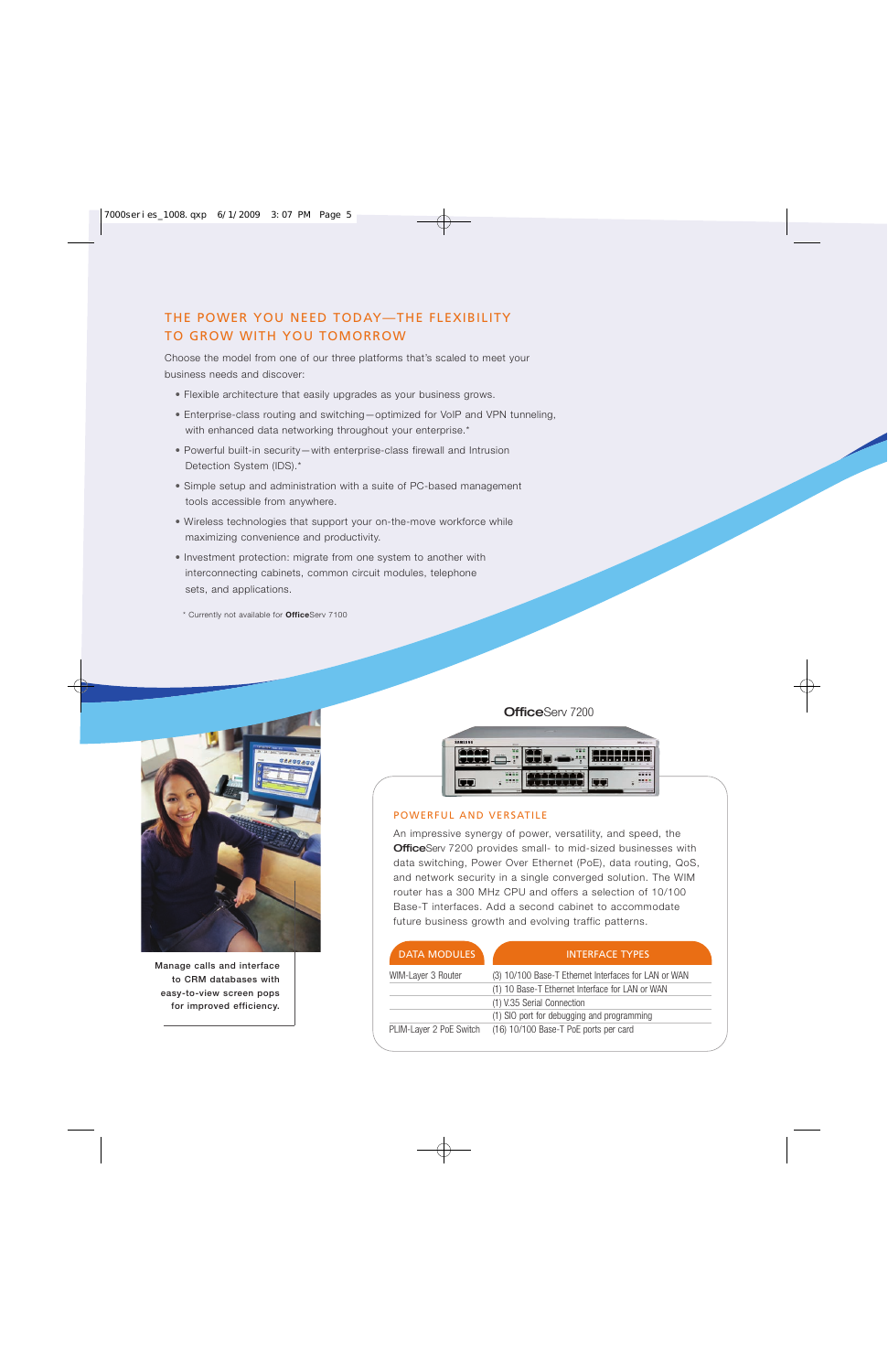## THE POWER YOU NEED TODAY—THE FLEXIBILITY TO GROW WITH YOU TOMORROW

Choose the model from one of our three platforms that's scaled to meet your business needs and discover:

- Flexible architecture that easily upgrades as your business grows.
- Enterprise-class routing and switching—optimized for VoIP and VPN tunneling, with enhanced data networking throughout your enterprise.\*
- Powerful built-in security—with enterprise-class firewall and Intrusion Detection System (IDS).\*
- Simple setup and administration with a suite of PC-based management tools accessible from anywhere.
- Wireless technologies that support your on-the-move workforce while maximizing convenience and productivity.
- Investment protection: migrate from one system to another with interconnecting cabinets, common circuit modules, telephone sets, and applications.
- \* Currently not available for **Office**Serv 7100



**Manage calls and interface to CRM databases with easy-to-view screen pops for improved efficiency.**

OfficeServ 7200



#### POWERFUL AND VERSATILE

An impressive synergy of power, versatility, and speed, the **Office**Serv 7200 provides small- to mid-sized businesses with data switching, Power Over Ethernet (PoE), data routing, QoS, and network security in a single converged solution. The WIM router has a 300 MHz CPU and offers a selection of 10/100 Base-T interfaces. Add a second cabinet to accommodate future business growth and evolving traffic patterns.

| <b>DATA MODULES</b>     | <b>INTERFACE TYPES</b>                               |
|-------------------------|------------------------------------------------------|
| WIM-Layer 3 Router      | (3) 10/100 Base-T Ethernet Interfaces for LAN or WAN |
|                         | (1) 10 Base-T Ethernet Interface for LAN or WAN      |
|                         | (1) V.35 Serial Connection                           |
|                         | (1) SIO port for debugging and programming           |
| PLIM-Layer 2 PoE Switch | (16) 10/100 Base-T PoE ports per card                |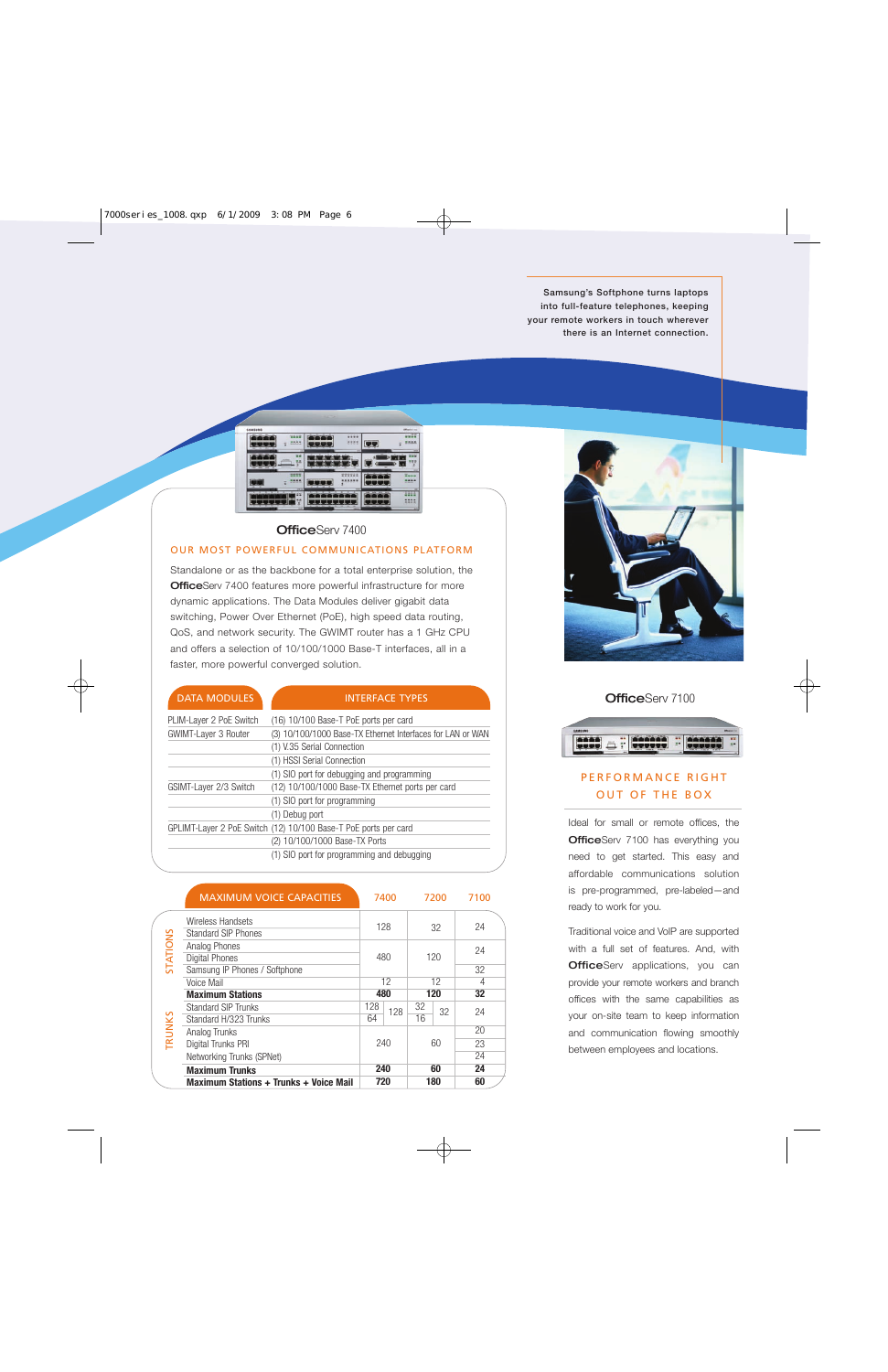**Samsung's Softphone turns laptops into full-feature telephones, keeping your remote workers in touch wherever there is an Internet connection.**



#### OfficeServ 7400

#### OUR MOST POWERFUL COMMUNICATIONS PLATFORM

Standalone or as the backbone for a total enterprise solution, the **Office**Serv 7400 features more powerful infrastructure for more dynamic applications. The Data Modules deliver gigabit data switching, Power Over Ethernet (PoE), high speed data routing, QoS, and network security. The GWIMT router has a 1 GHz CPU and offers a selection of 10/100/1000 Base-T interfaces, all in a faster, more powerful converged solution.

| <b>DATA MODULES</b>         | <b>INTERFACE TYPES</b>                                          |
|-----------------------------|-----------------------------------------------------------------|
| PLIM-Layer 2 PoE Switch     | (16) 10/100 Base-T PoE ports per card                           |
| <b>GWIMT-Layer 3 Router</b> | (3) 10/100/1000 Base-TX Ethernet Interfaces for LAN or WAN      |
|                             | (1) V.35 Serial Connection                                      |
|                             | (1) HSSI Serial Connection                                      |
|                             | (1) SIO port for debugging and programming                      |
| GSIMT-Layer 2/3 Switch      | (12) 10/100/1000 Base-TX Ethernet ports per card                |
|                             | (1) SIO port for programming                                    |
|                             | (1) Debug port                                                  |
|                             | GPLIMT-Layer 2 PoE Switch (12) 10/100 Base-T PoE ports per card |
|                             | (2) 10/100/1000 Base-TX Ports                                   |
|                             | (1) SIO port for programming and debugging                      |

|          | <b>MAXIMUM VOICE CAPACITIES</b>        | 7400 |     | 7200 |    | 7100 |  |
|----------|----------------------------------------|------|-----|------|----|------|--|
|          | Wireless Handsets                      | 128  |     | 32   |    | 24   |  |
|          | <b>Standard SIP Phones</b>             |      |     |      |    |      |  |
|          | Analog Phones                          | 480  |     | 120  |    | 24   |  |
| STATIONS | <b>Digital Phones</b>                  |      |     |      |    |      |  |
|          | Samsung IP Phones / Softphone          |      |     |      |    | 32   |  |
|          | Voice Mail                             | 12   |     | 12   |    | 4    |  |
|          | <b>Maximum Stations</b>                | 480  |     | 120  |    | 32   |  |
| TRUNKS   | Standard SIP Trunks                    | 128  | 128 | 32   | 32 | 24   |  |
|          | Standard H/323 Trunks                  | 64   |     | 16   |    |      |  |
|          | Analog Trunks                          | 240  |     |      |    | 20   |  |
|          | Digital Trunks PRI                     |      |     | 60   |    | 23   |  |
|          | Networking Trunks (SPNet)              |      |     |      |    | 24   |  |
|          | <b>Maximum Trunks</b>                  | 240  |     | 60   |    | 24   |  |
|          | Maximum Stations + Trunks + Voice Mail | 720  |     | 180  |    | 60   |  |



**OfficeServ 7100** 



## PERFORMANCE RIGHT OUT OF THE BOX

Ideal for small or remote offices, the **Office**Serv 7100 has everything you need to get started. This easy and affordable communications solution is pre-programmed, pre-labeled—and ready to work for you.

Traditional voice and VoIP are supported with a full set of features. And, with **Office**Serv applications, you can provide your remote workers and branch offices with the same capabilities as your on-site team to keep information and communication flowing smoothly between employees and locations.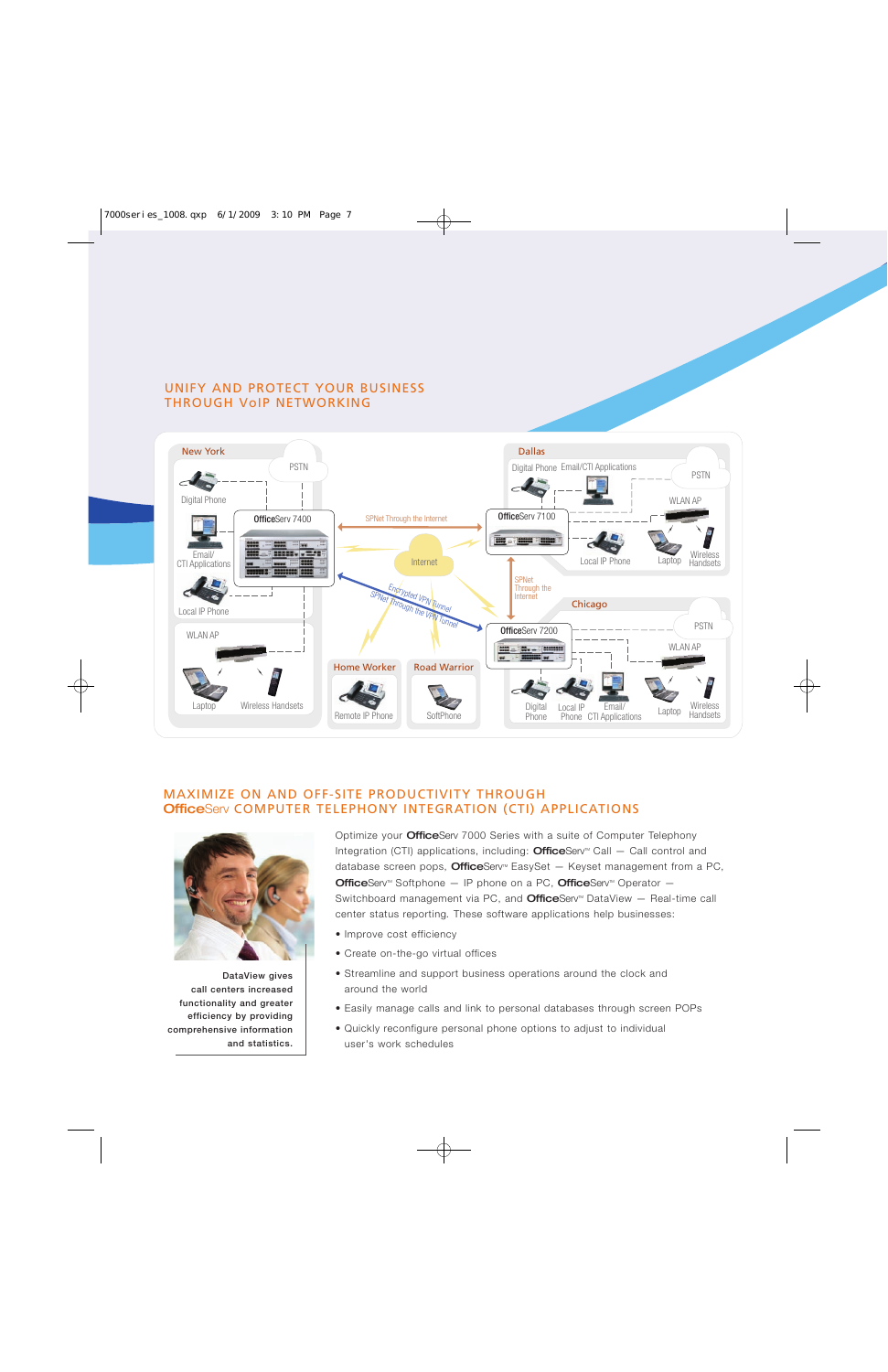### UNIFY AND PROTECT YOUR BUSINESS THROUGH VoIP NETWORKING



#### MAXIMIZE ON AND OFF-SITE PRODUCTIVITY THROUGH OfficeServ COMPUTER TELEPHONY INTEGRATION (CTI) APPLICATIONS



**DataView gives call centers increased functionality and greater efficiency by providing comprehensive information and statistics.**

Optimize your **Office**Serv 7000 Series with a suite of Computer Telephony Integration (CTI) applications, including: **Office**Serv<sup>M</sup> Call  $-$  Call control and database screen pops, **Office**Serv<sup>®</sup> EasySet  $-$  Keyset management from a PC, **Office**Serv<sup>M</sup> Softphone  $-$  IP phone on a PC, **Office**Serv<sup>M</sup> Operator  $-$ Switchboard management via PC, and **Office**Serv<sup>m</sup> DataView  $-$  Real-time call center status reporting*.* These software applications help businesses:

- Improve cost efficiency
- Create on-the-go virtual offices
- Streamline and support business operations around the clock and around the world
- Easily manage calls and link to personal databases through screen POPs
- Quickly reconfigure personal phone options to adjust to individual user's work schedules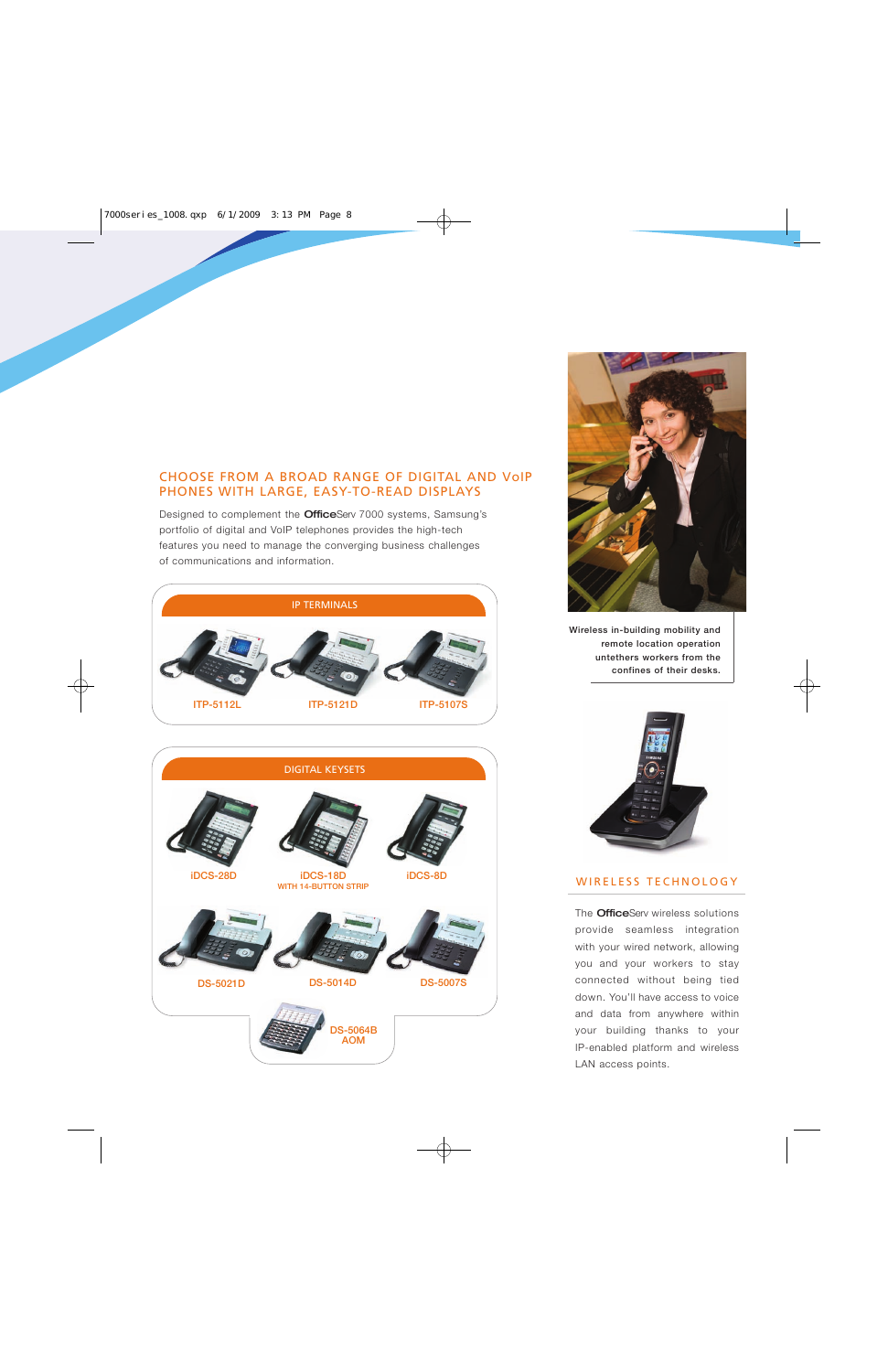## CHOOSE FROM A BROAD RANGE OF DIGITAL AND VoIP PHONES WITH LARGE, EASY-TO-READ DISPLAYS

Designed to complement the **Office**Serv 7000 systems, Samsung's portfolio of digital and VoIP telephones provides the high-tech features you need to manage the converging business challenges of communications and information.





**Wireless in-building mobility and remote location operation untethers workers from the confines of their desks.**



#### WIRELESS TECHNOLOGY

The **Office**Serv wireless solutions provide seamless integration with your wired network, allowing you and your workers to stay connected without being tied down. You'll have access to voice and data from anywhere within your building thanks to your IP-enabled platform and wireless LAN access points.